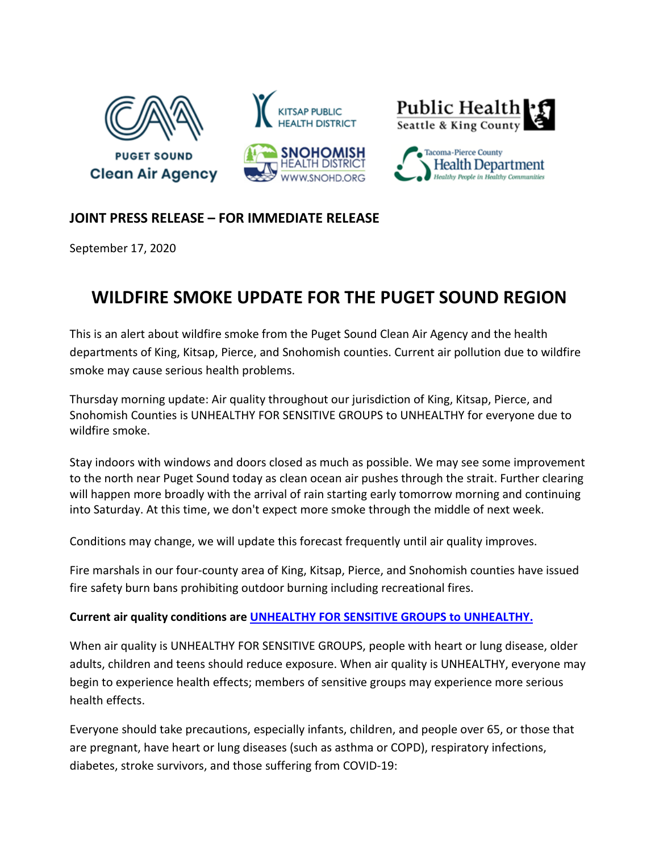

## **JOINT PRESS RELEASE – FOR IMMEDIATE RELEASE**

September 17, 2020

## **WILDFIRE SMOKE UPDATE FOR THE PUGET SOUND REGION**

This is an alert about wildfire smoke from the Puget Sound Clean Air Agency and the health departments of King, Kitsap, Pierce, and Snohomish counties. Current air pollution due to wildfire smoke may cause serious health problems.

Thursday morning update: Air quality throughout our jurisdiction of King, Kitsap, Pierce, and Snohomish Counties is UNHEALTHY FOR SENSITIVE GROUPS to UNHEALTHY for everyone due to wildfire smoke.

Stay indoors with windows and doors closed as much as possible. We may see some improvement to the north near Puget Sound today as clean ocean air pushes through the strait. Further clearing will happen more broadly with the arrival of rain starting early tomorrow morning and continuing into Saturday. At this time, we don't expect more smoke through the middle of next week.

Conditions may change, we will update this forecast frequently until air quality improves.

Fire marshals in our four-county area of King, Kitsap, Pierce, and Snohomish counties have issued fire safety burn bans prohibiting outdoor burning including recreational fires.

## **Current air quality conditions are [UNHEALTHY FOR SENSITIVE GROUPS to](https://www.pscleanair.gov/165/About-the-Air-Quality-Index) UNHEALTHY.**

When air quality is UNHEALTHY FOR SENSITIVE GROUPS, people with heart or lung disease, older adults, children and teens should reduce exposure. When air quality is UNHEALTHY, everyone may begin to experience health effects; members of sensitive groups may experience more serious health effects.

Everyone should take precautions, especially infants, children, and people over 65, or those that are pregnant, have heart or lung diseases (such as asthma or COPD), respiratory infections, diabetes, stroke survivors, and those suffering from COVID-19: